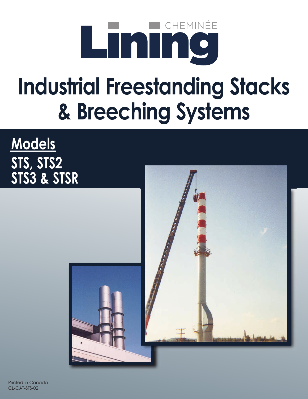

## **Industrial Freestanding Stacks & Breeching Systems**

### **Models STS, STS2 STS3 & STSR**



Printed in Canada CL-CAT-STS-02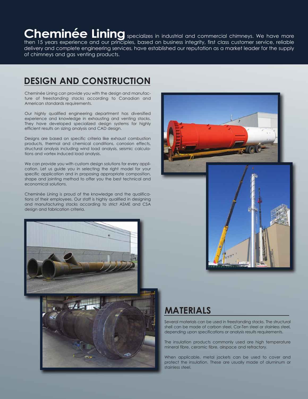#### Cheminée Lining specializes in industrial and commercial chimneys. We have more

then 15 years experience and our principles, based on business integrity, first class customer service, reliable delivery and complete engineering services, have established our reputation as a market leader for the supply of chimneys and gas venting products.

#### **deSIGN ANd CoNSTRUCTIoN**

Cheminée Lining can provide you with the design and manufacture of freestanding stacks according to Canadian and American standards requirements.

Our highly qualified engineering department has diversified experience and knowledge in exhausting and venting stacks. They have developed specialized design systems for highly efficient results on sizing analysis and CAD design.

Designs are based on specific criteria like exhaust combustion products, thermal and chemical conditions, corrosion effects, structural analysis including wind load analysis, seismic calculations and vortex induced load analysis.

We can provide you with custom design solutions for every application. Let us guide you in selecting the right model for your specific application and in proposing appropriate composition, shape and jointing method to offer you the best technical and economical solutions.

Cheminée Lining is proud of the knowledge and the qualifications of their employees. Our staff is highly qualified in designing and manufacturing stacks according to strict ASME and CSA design and fabrication criteria.





#### **MATeRIAlS**

Several materials can be used in freestanding stacks. The structural shell can be made of carbon steel, Cor-Ten steel or stainless steel, depending upon specifications or analysis results requirements.

The insulation products commonly used are high temperature mineral fibre, ceramic fibre, airspace and refractory.

When applicable, metal jackets can be used to cover and protect the insulation. These are usually made of aluminum or stainless steel.

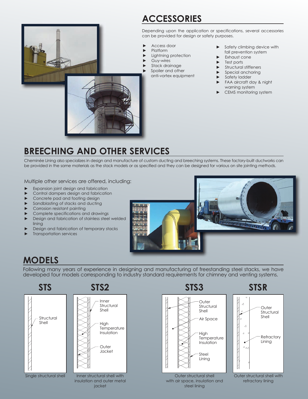#### **ACCeSSoRIeS**

Depending upon the application or specifications, several accessories can be provided for design or safety purposes.

- ► Access door
- Platform
- Lightning protection
- Guy-wires
- Stack drainage
- Spoiler and other
- anti-vortex equipment
- ► Safety climbing device with fall prevention system
- Exhaust cone
- Test ports
- Structural stiffeners
- Special anchoring
- Safety ladder
- FAA aircraft day & night warning system
- CEMS monitoring system



Cheminée Lining also specializes in design and manufacture of custom ducting and breeching systems. These factory-built ductworks can be provided in the same materials as the stack models or as specified and they can be designed for various on site jointing methods.

Multiple other services are offered, including:

- Expansion joint design and fabrication
- ► Control dampers design and fabrication
- Concrete pad and footing design
- Sandblasting of stacks and ducting
- ► Corrosion resistant painting
- ► Complete specifications and drawings
- Design and fabrication of stainless steel welded lining
- Design and fabrication of temporary stacks
- Transportation services



#### **ModelS**

Following many years of experience in designing and manufacturing of freestanding steel stacks, we have developed four models corresponding to industry standard requirements for chimney and venting systems.





steel lining



Outer structural shell with refractory lining

insulation and outer metal

jacket